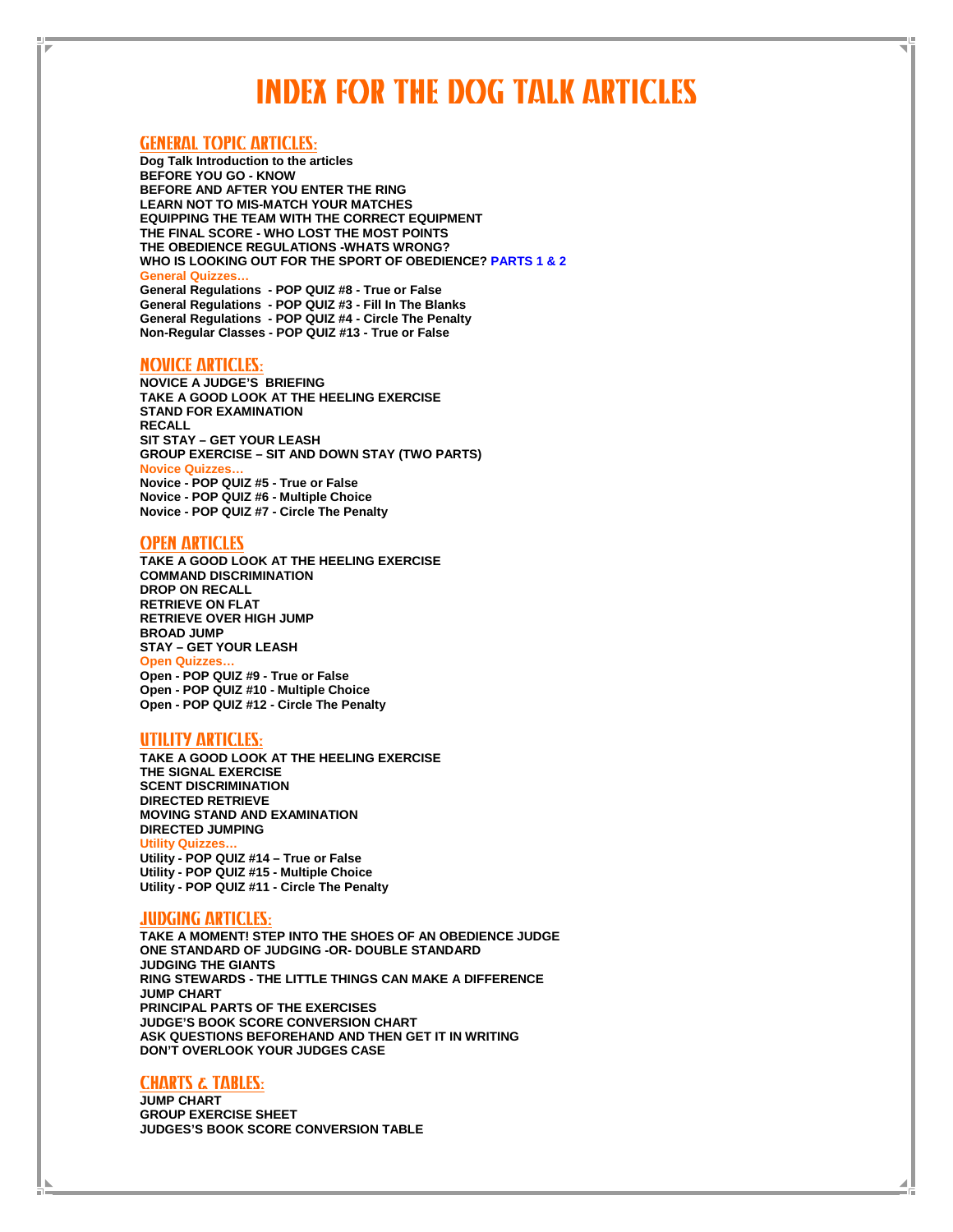## INDEX FOR THE DOG TALK ARTICLES

### GENERAL TOPIC ARTICLES:

**Dog Talk Introduction to the articles BEFORE YOU GO - KNOW BEFORE AND AFTER YOU ENTER THE RING LEARN NOT TO MIS-MATCH YOUR MATCHES EQUIPPING THE TEAM WITH THE CORRECT EQUIPMENT THE FINAL SCORE - WHO LOST THE MOST POINTS THE OBEDIENCE REGULATIONS -WHATS WRONG? WHO IS LOOKING OUT FOR THE SPORT OF OBEDIENCE? PARTS 1 & 2 General Quizzes… General Regulations - POP QUIZ #8 - True or False General Regulations - POP QUIZ #3 - Fill In The Blanks General Regulations - POP QUIZ #4 - Circle The Penalty Non-Regular Classes - POP QUIZ #13 - True or False** 

#### NOVICE ARTICLES:

**NOVICE A JUDGE'S BRIEFING TAKE A GOOD LOOK AT THE HEELING EXERCISE STAND FOR EXAMINATION RECALL SIT STAY – GET YOUR LEASH GROUP EXERCISE – SIT AND DOWN STAY (TWO PARTS) Novice Quizzes… Novice - POP QUIZ #5 - True or False Novice - POP QUIZ #6 - Multiple Choice Novice - POP QUIZ #7 - Circle The Penalty** 

#### OPEN ARTICLES

**TAKE A GOOD LOOK AT THE HEELING EXERCISE COMMAND DISCRIMINATION DROP ON RECALL RETRIEVE ON FLAT RETRIEVE OVER HIGH JUMP BROAD JUMP STAY – GET YOUR LEASH Open Quizzes… Open - POP QUIZ #9 - True or False Open - POP QUIZ #10 - Multiple Choice Open - POP QUIZ #12 - Circle The Penalty** 

### UTILITY ARTICLES:

**TAKE A GOOD LOOK AT THE HEELING EXERCISE THE SIGNAL EXERCISE SCENT DISCRIMINATION DIRECTED RETRIEVE MOVING STAND AND EXAMINATION DIRECTED JUMPING Utility Quizze Utility - POP QUIZ #14 – True or False Utility - POP QUIZ #15 - Multiple Choice Utility - POP QUIZ #11 - Circle The Penalty** 

### JUDGING ARTICLES:

**TAKE A MOMENT! STEP INTO THE SHOES OF AN OBEDIENCE JUDGE ONE STANDARD OF JUDGING -OR- DOUBLE STANDARD JUDGING THE GIANTS RING STEWARDS - THE LITTLE THINGS CAN MAKE A DIFFERENCE JUMP CHART PRINCIPAL PARTS OF THE EXERCISES JUDGE'S BOOK SCORE CONVERSION CHART ASK QUESTIONS BEFOREHAND AND THEN GET IT IN WRITING DON'T OVERLOOK YOUR JUDGES CASE** 

## CHARTS & TABLES:

**JUMP CHART GROUP EXERCISE SHEET JUDGES'S BOOK SCORE CONVERSION TABLE**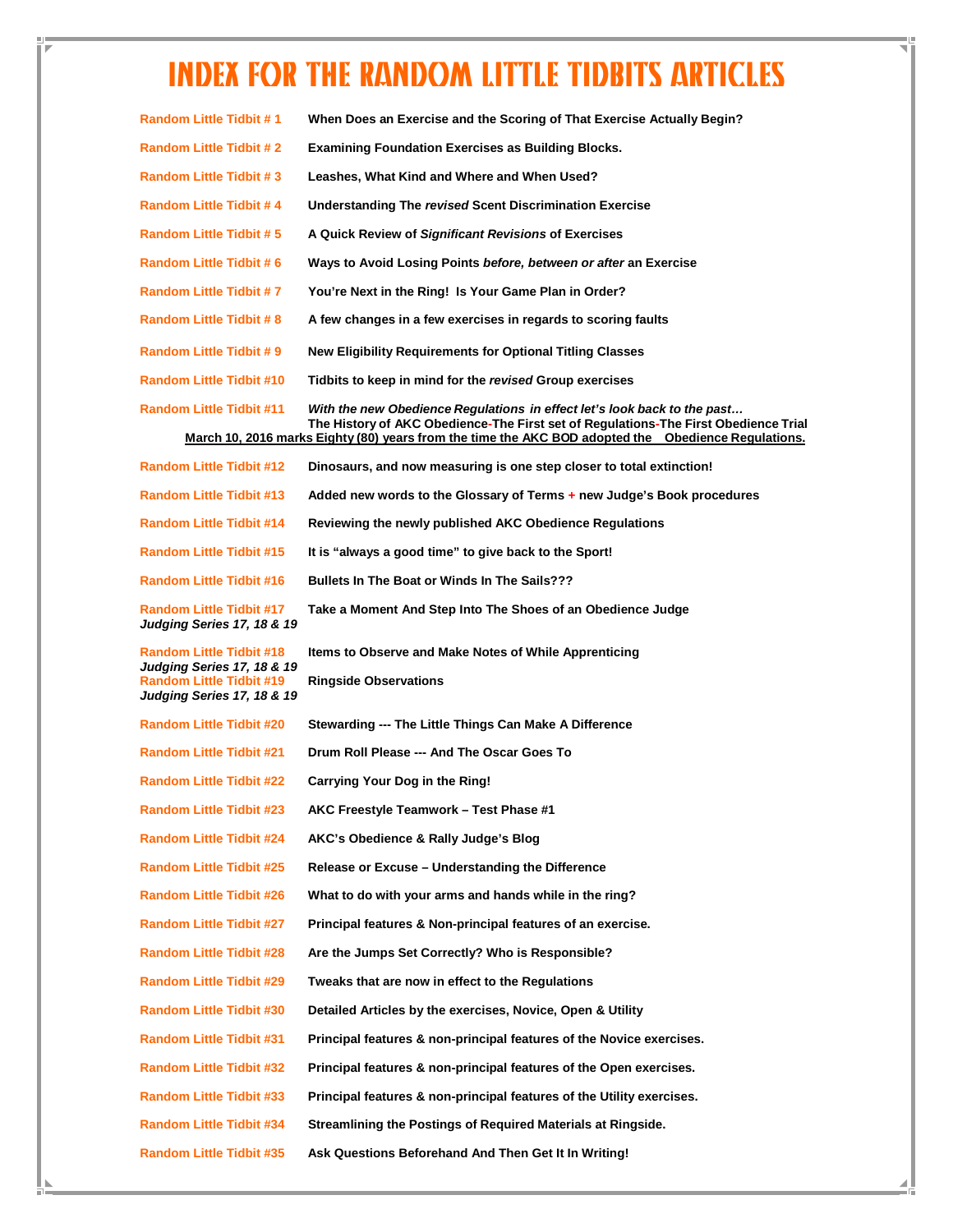# INDEX FOR THE RANDOM LITTLE TIDBITS ARTICLES

| <b>Random Little Tidbit #1</b>                                                       | When Does an Exercise and the Scoring of That Exercise Actually Begin?                                                                                           |
|--------------------------------------------------------------------------------------|------------------------------------------------------------------------------------------------------------------------------------------------------------------|
| <b>Random Little Tidbit # 2</b>                                                      | <b>Examining Foundation Exercises as Building Blocks.</b>                                                                                                        |
| <b>Random Little Tidbit #3</b>                                                       | Leashes, What Kind and Where and When Used?                                                                                                                      |
| <b>Random Little Tidbit #4</b>                                                       | Understanding The revised Scent Discrimination Exercise                                                                                                          |
| <b>Random Little Tidbit #5</b>                                                       | A Quick Review of Significant Revisions of Exercises                                                                                                             |
| <b>Random Little Tidbit #6</b>                                                       | Ways to Avoid Losing Points before, between or after an Exercise                                                                                                 |
| <b>Random Little Tidbit #7</b>                                                       | You're Next in the Ring! Is Your Game Plan in Order?                                                                                                             |
| <b>Random Little Tidbit # 8</b>                                                      | A few changes in a few exercises in regards to scoring faults                                                                                                    |
| <b>Random Little Tidbit # 9</b>                                                      | New Eligibility Requirements for Optional Titling Classes                                                                                                        |
| <b>Random Little Tidbit #10</b>                                                      | Tidbits to keep in mind for the revised Group exercises                                                                                                          |
| <b>Random Little Tidbit #11</b>                                                      | With the new Obedience Regulations  in effect let's look back to the past<br>The History of AKC Obedience-The First set of Regulations-The First Obedience Trial |
|                                                                                      | March 10, 2016 marks Eighty (80) years from the time the AKC BOD adopted the Obedience Regulations.                                                              |
| Random Little Tidbit #12                                                             | Dinosaurs, and now measuring is one step closer to total extinction!                                                                                             |
| <b>Random Little Tidbit #13</b>                                                      | Added new words to the Glossary of Terms + new Judge's Book procedures                                                                                           |
| <b>Random Little Tidbit #14</b>                                                      | Reviewing the newly published AKC Obedience Regulations                                                                                                          |
| <b>Random Little Tidbit #15</b>                                                      | It is "always a good time" to give back to the Sport!                                                                                                            |
| <b>Random Little Tidbit #16</b>                                                      | <b>Bullets In The Boat or Winds In The Sails???</b>                                                                                                              |
| <b>Random Little Tidbit #17</b>                                                      | Take a Moment And Step Into The Shoes of an Obedience Judge                                                                                                      |
| Judging Series 17, 18 & 19                                                           |                                                                                                                                                                  |
| Random Little Tidbit #18                                                             | Items to Observe and Make Notes of While Apprenticing                                                                                                            |
| Judging Series 17, 18 & 19<br>Random Little Tidbit #19<br>Judging Series 17, 18 & 19 | <b>Ringside Observations</b>                                                                                                                                     |
| <b>Random Little Tidbit #20</b>                                                      | Stewarding --- The Little Things Can Make A Difference                                                                                                           |
| <b>Random Little Tidbit #21</b>                                                      | Drum Roll Please --- And The Oscar Goes To                                                                                                                       |
| Random Little Tidbit #22                                                             | Carrying Your Dog in the Ring!                                                                                                                                   |
| Random Little Tidbit #23                                                             | AKC Freestyle Teamwork - Test Phase #1                                                                                                                           |
| <b>Random Little Tidbit #24</b>                                                      | AKC's Obedience & Rally Judge's Blog                                                                                                                             |
| <b>Random Little Tidbit #25</b>                                                      | Release or Excuse – Understanding the Difference                                                                                                                 |
| Random Little Tidbit #26                                                             | What to do with your arms and hands while in the ring?                                                                                                           |
| <b>Random Little Tidbit #27</b>                                                      | Principal features & Non-principal features of an exercise.                                                                                                      |
| <b>Random Little Tidbit #28</b>                                                      | Are the Jumps Set Correctly? Who is Responsible?                                                                                                                 |
| Random Little Tidbit #29                                                             | Tweaks that are now in effect to the Regulations                                                                                                                 |
| <b>Random Little Tidbit #30</b>                                                      | Detailed Articles by the exercises, Novice, Open & Utility                                                                                                       |
| Random Little Tidbit #31                                                             | Principal features & non-principal features of the Novice exercises.                                                                                             |
| Random Little Tidbit #32                                                             | Principal features & non-principal features of the Open exercises.                                                                                               |
| <b>Random Little Tidbit #33</b>                                                      | Principal features & non-principal features of the Utility exercises.                                                                                            |
| Random Little Tidbit #34                                                             | Streamlining the Postings of Required Materials at Ringside.                                                                                                     |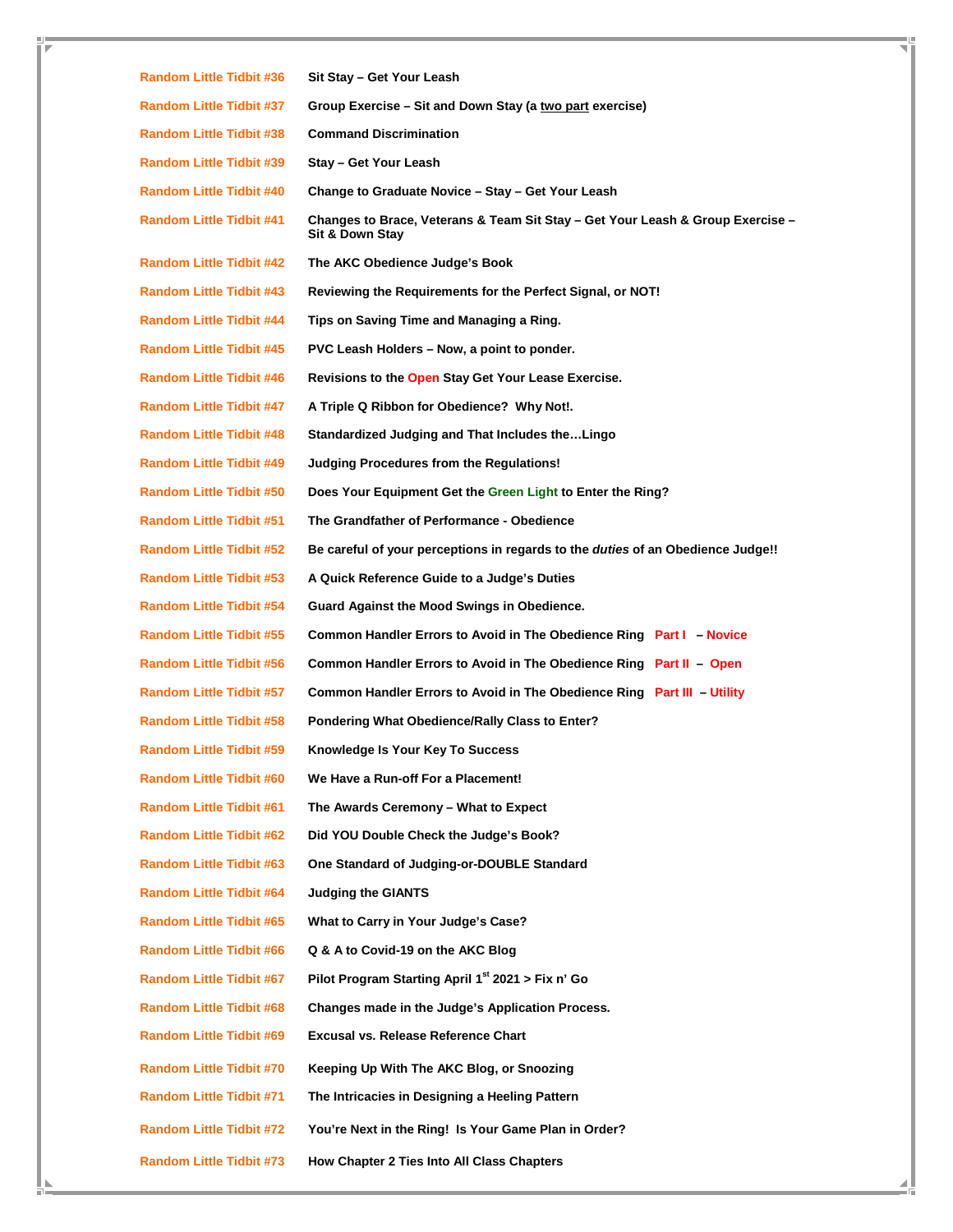**Random Little Tidbit #36 Sit Stay – Get Your Leash Random Little Tidbit #37 Group Exercise – Sit and Down Stay (a two part exercise) Random Little Tidbit #38 Command Discrimination Random Little Tidbit #39 Stay – Get Your Leash Random Little Tidbit #40 Change to Graduate Novice – Stay – Get Your Leash Random Little Tidbit #41 Changes to Brace, Veterans & Team Sit Stay – Get Your Leash & Group Exercise – Sit & Down Stay Random Little Tidbit #42 The AKC Obedience Judge's Book Random Little Tidbit #43 Reviewing the Requirements for the Perfect Signal, or NOT! Random Little Tidbit #44 Tips on Saving Time and Managing a Ring. Random Little Tidbit #45 PVC Leash Holders – Now, a point to ponder. Random Little Tidbit #46 Revisions to the Open Stay Get Your Lease Exercise. Random Little Tidbit #47 A Triple Q Ribbon for Obedience? Why Not!. Random Little Tidbit #48 Standardized Judging and That Includes the…Lingo Random Little Tidbit #49 Judging Procedures from the Regulations! Random Little Tidbit #50 Does Your Equipment Get the Green Light to Enter the Ring? Random Little Tidbit #51 The Grandfather of Performance - Obedience Random Little Tidbit #52 Be careful of your perceptions in regards to the duties of an Obedience Judge!! Random Little Tidbit #53 A Quick Reference Guide to a Judge's Duties Random Little Tidbit #54 Guard Against the Mood Swings in Obedience. Random Little Tidbit #55 Common Handler Errors to Avoid in The Obedience Ring Part I – Novice Random Little Tidbit #56 Common Handler Errors to Avoid in The Obedience Ring Part II – Open Random Little Tidbit #57 Common Handler Errors to Avoid in The Obedience Ring Part III – Utility Random Little Tidbit #58 Pondering What Obedience/Rally Class to Enter? Random Little Tidbit #59 Knowledge Is Your Key To Success Random Little Tidbit #60 We Have a Run-off For a Placement! Random Little Tidbit #61 The Awards Ceremony – What to Expect Random Little Tidbit #62 Did YOU Double Check the Judge's Book? Random Little Tidbit #63 One Standard of Judging-or-DOUBLE Standard Random Little Tidbit #64 Judging the GIANTS Random Little Tidbit #65 What to Carry in Your Judge's Case? Random Little Tidbit #66 Q & A to Covid-19 on the AKC Blog Random Little Tidbit #67 Pilot Program Starting April 1st 2021 > Fix n' Go Random Little Tidbit #68 Changes made in the Judge's Application Process. Random Little Tidbit #69 Excusal vs. Release Reference Chart Random Little Tidbit #70 Keeping Up With The AKC Blog, or Snoozing Random Little Tidbit #71 The Intricacies in Designing a Heeling Pattern Random Little Tidbit #72 You're Next in the Ring! Is Your Game Plan in Order? Random Little Tidbit #73 How Chapter 2 Ties Into All Class Chapters**